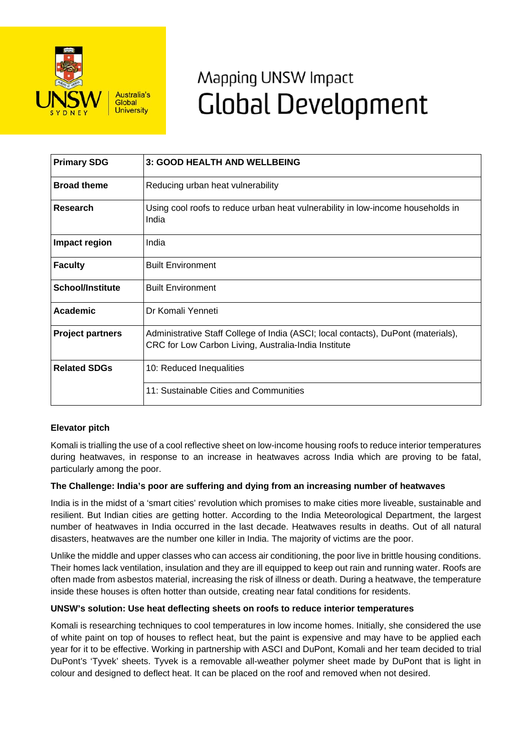

# Mapping UNSW Impact **Global Development**

| <b>Primary SDG</b>      | 3: GOOD HEALTH AND WELLBEING                                                                                                              |
|-------------------------|-------------------------------------------------------------------------------------------------------------------------------------------|
| <b>Broad theme</b>      | Reducing urban heat vulnerability                                                                                                         |
| Research                | Using cool roofs to reduce urban heat vulnerability in low-income households in<br>India                                                  |
| Impact region           | India                                                                                                                                     |
| <b>Faculty</b>          | <b>Built Environment</b>                                                                                                                  |
| <b>School/Institute</b> | <b>Built Environment</b>                                                                                                                  |
| Academic                | Dr Komali Yenneti                                                                                                                         |
| <b>Project partners</b> | Administrative Staff College of India (ASCI; local contacts), DuPont (materials),<br>CRC for Low Carbon Living, Australia-India Institute |
| <b>Related SDGs</b>     | 10: Reduced Inequalities                                                                                                                  |
|                         | 11: Sustainable Cities and Communities                                                                                                    |

# **Elevator pitch**

Komali is trialling the use of a cool reflective sheet on low-income housing roofs to reduce interior temperatures during heatwaves, in response to an increase in heatwaves across India which are proving to be fatal, particularly among the poor.

#### **The Challenge: India's poor are suffering and dying from an increasing number of heatwaves**

India is in the midst of a 'smart cities' revolution which promises to make cities more liveable, sustainable and resilient. But Indian cities are getting hotter. According to the India Meteorological Department, the largest number of heatwaves in India occurred in the last decade. Heatwaves results in deaths. Out of all natural disasters, heatwaves are the number one killer in India. The majority of victims are the poor.

Unlike the middle and upper classes who can access air conditioning, the poor live in brittle housing conditions. Their homes lack ventilation, insulation and they are ill equipped to keep out rain and running water. Roofs are often made from asbestos material, increasing the risk of illness or death. During a heatwave, the temperature inside these houses is often hotter than outside, creating near fatal conditions for residents.

#### **UNSW's solution: Use heat deflecting sheets on roofs to reduce interior temperatures**

Komali is researching techniques to cool temperatures in low income homes. Initially, she considered the use of white paint on top of houses to reflect heat, but the paint is expensive and may have to be applied each year for it to be effective. Working in partnership with ASCI and DuPont, Komali and her team decided to trial DuPont's 'Tyvek' sheets. Tyvek is a removable all-weather polymer sheet made by DuPont that is light in colour and designed to deflect heat. It can be placed on the roof and removed when not desired.